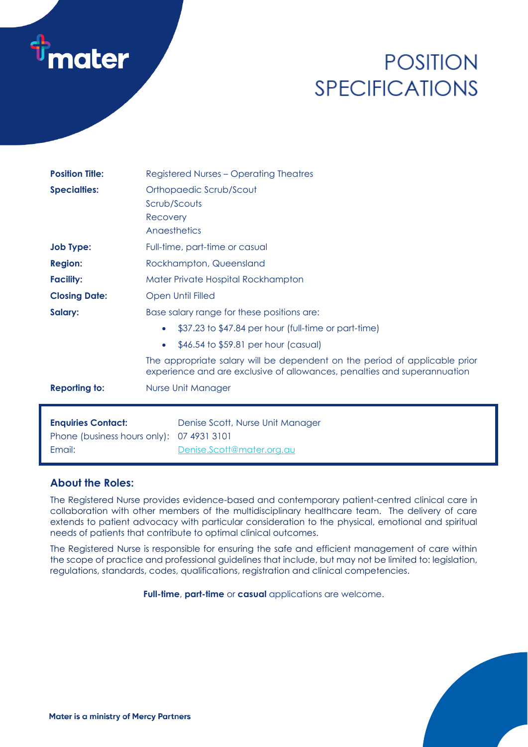

# **POSITION SPECIFICATIONS**

| <b>Position Title:</b>                                              | <b>Registered Nurses - Operating Theatres</b>                                                                                                          |
|---------------------------------------------------------------------|--------------------------------------------------------------------------------------------------------------------------------------------------------|
| <b>Specialties:</b>                                                 | Orthopaedic Scrub/Scout<br>Scrub/Scouts<br>Recovery<br>Angesthetics                                                                                    |
| <b>Job Type:</b>                                                    | Full-time, part-time or casual                                                                                                                         |
| <b>Region:</b>                                                      | Rockhampton, Queensland                                                                                                                                |
| <b>Facility:</b>                                                    | Mater Private Hospital Rockhampton                                                                                                                     |
| <b>Closing Date:</b>                                                | Open Until Filled                                                                                                                                      |
| Salary:                                                             | Base salary range for these positions are:                                                                                                             |
|                                                                     | \$37.23 to \$47.84 per hour (full-time or part-time)<br>$\bullet$                                                                                      |
|                                                                     | \$46.54 to \$59.81 per hour (casual)<br>$\bullet$                                                                                                      |
|                                                                     | The appropriate salary will be dependent on the period of applicable prior<br>experience and are exclusive of allowances, penalties and superannuation |
| <b>Reporting to:</b>                                                | Nurse Unit Manager                                                                                                                                     |
| <b>Enquiries Contact:</b><br>Phone (business hours only):<br>Email: | Denise Scott, Nurse Unit Manager<br>07 4931 3101<br>Denise.Scott@mater.org.au                                                                          |

## **About the Roles:**

The Registered Nurse provides evidence-based and contemporary patient-centred clinical care in collaboration with other members of the multidisciplinary healthcare team. The delivery of care extends to patient advocacy with particular consideration to the physical, emotional and spiritual needs of patients that contribute to optimal clinical outcomes.

The Registered Nurse is responsible for ensuring the safe and efficient management of care within the scope of practice and professional guidelines that include, but may not be limited to: legislation, regulations, standards, codes, qualifications, registration and clinical competencies.

**Full-time**, **part-time** or **casual** applications are welcome.

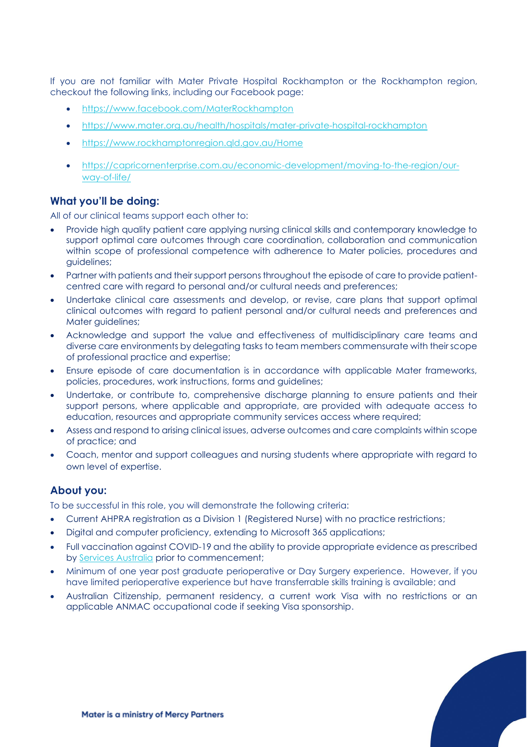If you are not familiar with Mater Private Hospital Rockhampton or the Rockhampton region, checkout the following links, including our Facebook page:

- <https://www.facebook.com/MaterRockhampton>
- <https://www.mater.org.au/health/hospitals/mater-private-hospital-rockhampton>
- <https://www.rockhamptonregion.qld.gov.au/Home>
- [https://capricornenterprise.com.au/economic-development/moving-to-the-region/our](https://capricornenterprise.com.au/economic-development/moving-to-the-region/our-way-of-life/)[way-of-life/](https://capricornenterprise.com.au/economic-development/moving-to-the-region/our-way-of-life/)

### **What you'll be doing:**

All of our clinical teams support each other to:

- Provide high quality patient care applying nursing clinical skills and contemporary knowledge to support optimal care outcomes through care coordination, collaboration and communication within scope of professional competence with adherence to Mater policies, procedures and guidelines;
- Partner with patients and their support persons throughout the episode of care to provide patientcentred care with regard to personal and/or cultural needs and preferences;
- Undertake clinical care assessments and develop, or revise, care plans that support optimal clinical outcomes with regard to patient personal and/or cultural needs and preferences and Mater guidelines;
- Acknowledge and support the value and effectiveness of multidisciplinary care teams and diverse care environments by delegating tasks to team members commensurate with their scope of professional practice and expertise;
- Ensure episode of care documentation is in accordance with applicable Mater frameworks, policies, procedures, work instructions, forms and guidelines;
- Undertake, or contribute to, comprehensive discharge planning to ensure patients and their support persons, where applicable and appropriate, are provided with adequate access to education, resources and appropriate community services access where required;
- Assess and respond to arising clinical issues, adverse outcomes and care complaints within scope of practice; and
- Coach, mentor and support colleagues and nursing students where appropriate with regard to own level of expertise.

#### **About you:**

To be successful in this role, you will demonstrate the following criteria:

- Current AHPRA registration as a Division 1 (Registered Nurse) with no practice restrictions;
- Digital and computer proficiency, extending to Microsoft 365 applications;
- Full vaccination against COVID-19 and the ability to provide appropriate evidence as prescribed by [Services Australia](https://www.servicesaustralia.gov.au/individuals/subjects/getting-help-during-coronavirus-covid-19/covid-19-vaccinations/how-get-proof) prior to commencement;
- Minimum of one year post graduate perioperative or Day Surgery experience. However, if you have limited perioperative experience but have transferrable skills training is available; and
- Australian Citizenship, permanent residency, a current work Visa with no restrictions or an applicable ANMAC occupational code if seeking Visa sponsorship.